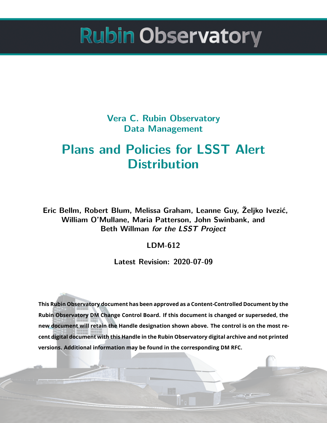**Vera C. Rubin Observatory Data Management**

# **Plans and Policies for LSST Alert Distribution**

**Eric Bellm, Robert Blum, Melissa Graham, Leanne Guy, Željko Ivezić, William O'Mullane, Maria Patterson, John Swinbank, and Beth Willman** *for the LSST Project*

### **LDM-612**

**Latest Revision: 2020-07-09**

**This Rubin Observatory document has been approved as a Content-Controlled Document by the Rubin Observatory DM Change Control Board. If this document is changed or superseded, the new document will retain the Handle designation shown above. The control is on the most recent digital document with this Handle in the Rubin Observatory digital archive and not printed versions. Additional information may be found in the corresponding DM RFC.**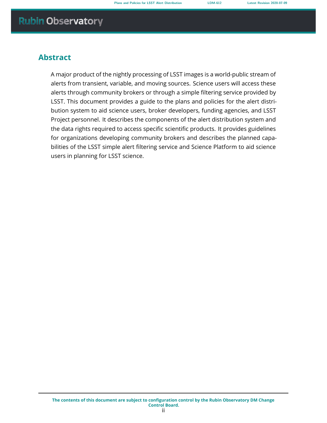### **Abstract**

A major product of the nightly processing of LSST images is a world-public stream of alerts from transient, variable, and moving sources. Science users will access these alerts through community brokers or through a simple filtering service provided by LSST. This document provides a guide to the plans and policies for the alert distribution system to aid science users, broker developers, funding agencies, and LSST Project personnel. It describes the components of the alert distribution system and the data rights required to access specific scientific products. It provides guidelines for organizations developing community brokers and describes the planned capabilities of the LSST simple alert filtering service and Science Platform to aid science users in planning for LSST science.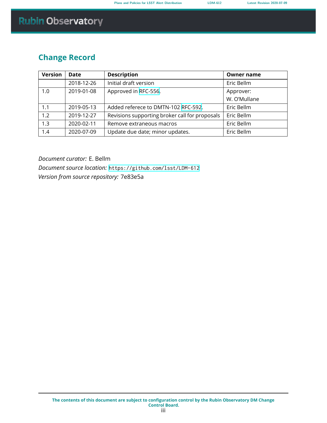### **Change Record**

| <b>Version</b> | Date       | <b>Description</b>                             | <b>Owner name</b> |
|----------------|------------|------------------------------------------------|-------------------|
|                | 2018-12-26 | Initial draft version                          | Eric Bellm        |
| 1.0            | 2019-01-08 | Approved in RFC-556.                           | Approver:         |
|                |            |                                                | W. O'Mullane      |
| 1.1            | 2019-05-13 | Added referece to DMTN-102 RFC-592.            | Eric Bellm        |
| 1.2            | 2019-12-27 | Revisions supporting broker call for proposals | Eric Bellm        |
| 1.3            | 2020-02-11 | Remove extraneous macros                       | Eric Bellm        |
| 1.4            | 2020-07-09 | Update due date; minor updates.                | Eric Bellm        |

*Document curator:* E. Bellm *Document source location:* <https://github.com/lsst/LDM-612> *Version from source repository:* 7e83e5a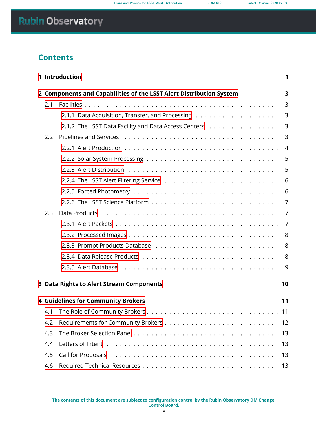### **Contents**

|     | 1 Introduction                                                           | 1  |  |  |  |  |
|-----|--------------------------------------------------------------------------|----|--|--|--|--|
|     | 2 Components and Capabilities of the LSST Alert Distribution System<br>3 |    |  |  |  |  |
| 2.1 |                                                                          | 3  |  |  |  |  |
|     |                                                                          | 3  |  |  |  |  |
|     | 2.1.2 The LSST Data Facility and Data Access Centers                     | 3  |  |  |  |  |
| 2.2 |                                                                          | 3  |  |  |  |  |
|     |                                                                          | 4  |  |  |  |  |
|     |                                                                          | 5  |  |  |  |  |
|     |                                                                          | 5  |  |  |  |  |
|     |                                                                          | 6  |  |  |  |  |
|     |                                                                          | 6  |  |  |  |  |
|     |                                                                          | 7  |  |  |  |  |
| 2.3 |                                                                          | 7  |  |  |  |  |
|     |                                                                          | 7  |  |  |  |  |
|     |                                                                          | 8  |  |  |  |  |
|     |                                                                          | 8  |  |  |  |  |
|     |                                                                          | 8  |  |  |  |  |
|     |                                                                          | 9  |  |  |  |  |
|     | 3 Data Rights to Alert Stream Components                                 | 10 |  |  |  |  |
|     |                                                                          |    |  |  |  |  |
|     | <b>4 Guidelines for Community Brokers</b>                                | 11 |  |  |  |  |
|     |                                                                          | 11 |  |  |  |  |
| 4.2 |                                                                          | 12 |  |  |  |  |
| 4.3 |                                                                          | 13 |  |  |  |  |
| 4.4 |                                                                          | 13 |  |  |  |  |
| 4.5 |                                                                          | 13 |  |  |  |  |
| 4.6 |                                                                          | 13 |  |  |  |  |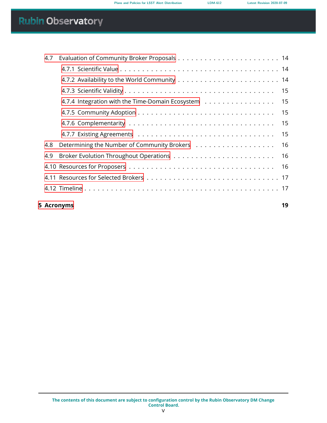|     | 5 Acronyms                                          | 19 |
|-----|-----------------------------------------------------|----|
|     |                                                     |    |
|     |                                                     |    |
|     |                                                     | 16 |
| 4.9 |                                                     | 16 |
| 4.8 |                                                     | 16 |
|     |                                                     | 15 |
|     |                                                     | 15 |
|     |                                                     | 15 |
|     | 4.7.4 Integration with the Time-Domain Ecosystem 15 |    |
|     |                                                     |    |
|     |                                                     |    |
|     |                                                     |    |
| 4.7 |                                                     |    |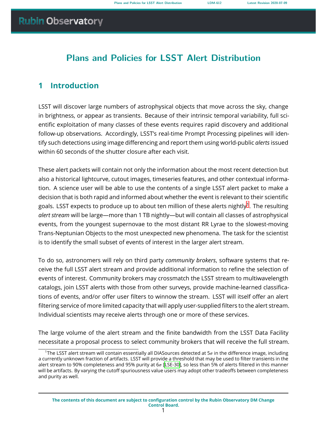### **Plans and Policies for LSST Alert Distribution**

### <span id="page-5-0"></span>**1 Introduction**

LSST will discover large numbers of astrophysical objects that move across the sky, change in brightness, or appear as transients. Because of their intrinsic temporal variability, full scientific exploitation of many classes of these events requires rapid discovery and additional follow-up observations. Accordingly, LSST's real-time Prompt Processing pipelines will identify such detections using image differencing and report them using world-public *alerts* issued within 60 seconds of the shutter closure after each visit.

These alert packets will contain not only the information about the most recent detection but also a historical lightcurve, cutout images, timeseries features, and other contextual information. A science user will be able to use the contents of a single LSST alert packet to make a decision that is both rapid and informed about whether the event is relevant to their scientific goals. LSST expects to produce up to about ten million of these alerts nightly $^1.$  $^1.$  $^1.$  The resulting *alert stream* will be large—more than 1 TB nightly—but will contain all classes of astrophysical events, from the youngest supernovae to the most distant RR Lyrae to the slowest-moving Trans-Neptunian Objects to the most unexpected new phenomena. The task for the scientist is to identify the small subset of events of interest in the larger alert stream.

To do so, astronomers will rely on third party *community brokers*, software systems that receive the full LSST alert stream and provide additional information to refine the selection of events of interest. Community brokers may crossmatch the LSST stream to multiwavelength catalogs, join LSST alerts with those from other surveys, provide machine-learned classifications of events, and/or offer user filters to winnow the stream. LSST will itself offer an alert filtering service of more limited capacity that will apply user-supplied filters to the alert stream. Individual scientists may receive alerts through one or more of these services.

The large volume of the alert stream and the finite bandwidth from the LSST Data Facility necessitate a proposal process to select community brokers that will receive the full stream.

<span id="page-5-1"></span><sup>&</sup>lt;sup>1</sup>The LSST alert stream will contain essentially all DIASources detected at  $5\sigma$  in the difference image, including a currently unknown fraction of artifacts. LSST will provide a threshold that may be used to filter transients in the alert stream to 90% completeness and 95% purity at  $6\sigma$  [\[LSE-30](#page-24-0)], so less than 5% of alerts filtered in this manner will be artifacts. By varying the cutoff spuriousness value users may adopt other tradeoffs between completeness and purity as well.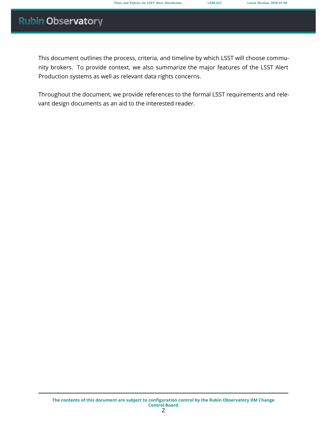This document outlines the process, criteria, and timeline by which LSST will choose community brokers. To provide context, we also summarize the major features of the LSST Alert Production systems as well as relevant data rights concerns.

Throughout the document, we provide references to the formal LSST requirements and relevant design documents as an aid to the interested reader.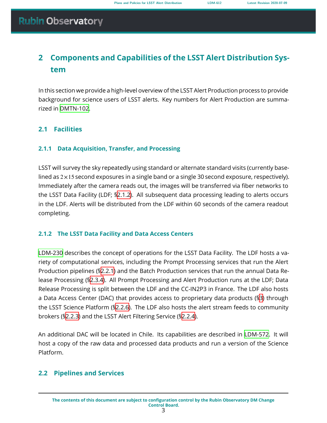### <span id="page-7-0"></span>**2 Components and Capabilities of the LSST Alert Distribution System**

In this section we provide a high-level overview of the LSST Alert Production process to provide background for science users of LSST alerts. Key numbers for Alert Production are summarized in [DMTN-102.](#page-24-1)

### <span id="page-7-2"></span><span id="page-7-1"></span>**2.1 Facilities**

### **2.1.1 Data Acquisition, Transfer, and Processing**

LSST will survey the sky repeatedly using standard or alternate standard visits (currently baselined as  $2 \times 15$  second exposures in a single band or a single 30 second exposure, respectively). Immediately after the camera reads out, the images will be transferred via fiber networks to the LSST Data Facility (LDF; [§2.1.2](#page-7-3)). All subsequent data processing leading to alerts occurs in the LDF. Alerts will be distributed from the LDF within 60 seconds of the camera readout completing.

### <span id="page-7-3"></span>**2.1.2 The LSST Data Facility and Data Access Centers**

[LDM-230](#page-25-0) describes the concept of operations for the LSST Data Facility. The LDF hosts a variety of computational services, including the Prompt Processing services that run the Alert Production pipelines (§[2.2.1](#page-7-5)) and the Batch Production services that run the annual Data Release Processing (§[2.3.4](#page-12-2)). All Prompt Processing and Alert Production runs at the LDF; Data Release Processing is split between the LDF and the CC-IN2P3 in France. The LDF also hosts a Data Access Center (DAC) that provides access to proprietary data products (§[3](#page-14-0)) through the LSST Science Platform (§[2.2.6](#page-11-0)). The LDF also hosts the alert stream feeds to community brokers (§[2.2.3](#page-9-1)) and the LSST Alert Filtering Service ([§2.2.4\)](#page-10-0).

An additional DAC will be located in Chile. Its capabilities are described in [LDM-572](#page-24-2). It will host a copy of the raw data and processed data products and run a version of the Science Platform.

### <span id="page-7-5"></span><span id="page-7-4"></span>**2.2 Pipelines and Services**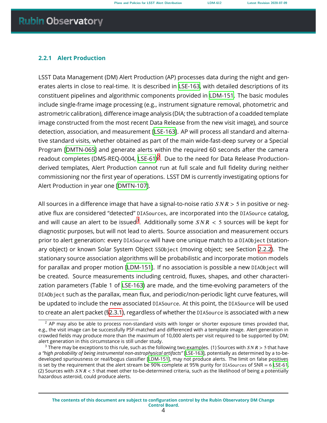#### **2.2.1 Alert Production**

LSST Data Management (DM) Alert Production (AP) processes data during the night and generates alerts in close to real-time. It is described in [LSE-163](#page-24-3), with detailed descriptions of its constituent pipelines and algorithmic components provided in [LDM-151.](#page-25-1) The basic modules include single-frame image processing (e.g., instrument signature removal, photometric and astrometric calibration), difference image analysis (DIA; the subtraction of a coadded template image constructed from the most recent Data Release from the new visit image), and source detection, association, and measurement [\[LSE-163](#page-24-3)]. AP will process all standard and alternative standard visits, whether obtained as part of the main wide-fast-deep survey or a Special Program[[DMTN-065\]](#page-24-4) and generate alerts within the required 60 seconds after the camera readout completes (DMS-REQ-0004, [LSE-61\)](#page-24-5)<sup>[2](#page-8-0)</sup>. Due to the need for Data Release Productionderived templates, Alert Production cannot run at full scale and full fidelity during neither commissioning nor the first year of operations. LSST DM is currently investigating options for Alert Production in year one[[DMTN-107\]](#page-24-6).

All sources in a difference image that have a signal-to-noise ratio  $SNR > 5$  in positive or negative flux are considered "detected" DIASources, are incorporated into the DIASource catalog, and will cause an alert to be issued $^3$  $^3$ . Additionally some  $SNR < 5$  sources will be kept for diagnostic purposes, but will not lead to alerts. Source association and measurement occurs prior to alert generation: every DIASource will have one unique match to a DIAObject (stationary object) or known Solar System Object SSObject (moving object; see Section [2.2.2](#page-9-0)). The stationary source association algorithms will be probabilistic and incorporate motion models for parallax and proper motion[[LDM-151](#page-25-1)]. If no association is possible a new DIAObject will be created. Source measurements including centroid, fluxes, shapes, and other characterization parameters (Table 1 of [LSE-163](#page-24-3)) are made, and the time-evolving parameters of the DIAObject such as the parallax, mean flux, and periodic/non-periodic light curve features, will be updated to include the new associated DIASource. At this point, the DIASource will be used to create an alert packet ([§2.3.1\)](#page-11-2), regardless of whether the DIASource is associated with a new

<span id="page-8-0"></span> $2$  AP may also be able to process non-standard visits with longer or shorter exposure times provided that, e.g., the visit image can be successfully PSF-matched and differenced with a template image. Alert generation in crowded fields may produce more than the maximum of 10,000 alerts per visit required to be supported by DM; alert generation in this circumstance is still under study.

<span id="page-8-1"></span><sup>&</sup>lt;sup>3</sup> There may be exceptions to this rule, such as the following two examples. (1) Sources with  $SNR > 5$  that have a *"high probability of being instrumental non-astrophysical artifacts"* [[LSE-163](#page-24-3)], potentially as determined by a to-bedeveloped spuriousness or real/bogus classifier[[LDM-151](#page-25-1)], may not produce alerts. The limit on false positives is set by the requirement that the alert stream be 90% complete at 95% purity for DIASources of SNR  $= 6$  [LSE-61](#page-24-5). (2) Sources with  $SNR < 5$  that meet other to-be-determined criteria, such as the likelihood of being a potentially hazardous asteroid, could produce alerts.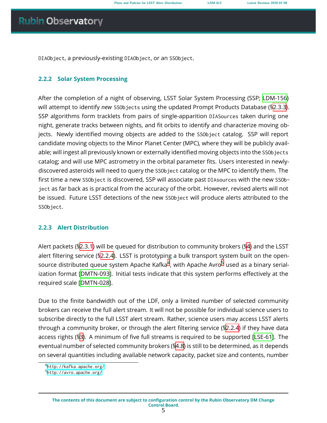<span id="page-9-0"></span>DIAObject, a previously-existing DIAObject, or an SSObject.

#### **2.2.2 Solar System Processing**

After the completion of a night of observing, LSST Solar System Processing (SSP; [LDM-156](#page-24-7)) will attempt to identify *new* SSObjects using the updated Prompt Products Database ([§2.3.3\)](#page-12-1). SSP algorithms form tracklets from pairs of single-apparition DIASources taken during one night, generate tracks between nights, and fit orbits to identify and characterize moving objects. Newly identified moving objects are added to the SSObject catalog. SSP will report candidate moving objects to the Minor Planet Center (MPC), where they will be publicly available; will ingest all previously known or externally identified moving objects into the SSObjects catalog; and will use MPC astrometry in the orbital parameter fits. Users interested in newlydiscovered asteroids will need to query the SSObject catalog or the MPC to identify them. The first time a new SSObject is discovered, SSP will associate past DIAsources with the new SSObject as far back as is practical from the accuracy of the orbit. However, revised alerts will not be issued. Future LSST detections of the new SSObject will produce alerts attributed to the SSObject.

#### <span id="page-9-1"></span>**2.2.3 Alert Distribution**

Alert packets ([§2.3.1\)](#page-11-2) will be queued for distribution to community brokers ([§4](#page-15-0)) and the LSST alert filtering service ([§2.2.4\)](#page-10-0). LSST is prototyping a bulk transport system built on the opensource distributed queue system Apache Kafka $^4$  $^4$ , with Apache Avro $^5$  $^5$  used as a binary serialization format[[DMTN-093](#page-25-2)]. Initial tests indicate that this system performs effectively at the required scale[[DMTN-028\]](#page-25-3).

Due to the finite bandwidth out of the LDF, only a limited number of selected community brokers can receive the full alert stream. It will not be possible for individual science users to subscribe directly to the full LSST alert stream. Rather, science users may access LSST alerts through a community broker, or through the alert filtering service (§[2.2.4](#page-10-0)) if they have data access rights ([§3\)](#page-14-0). A minimum of five full streams is required to be supported[[LSE-61\]](#page-24-5). The eventual number of selected community brokers ([§4.8](#page-20-0)) is still to be determined, as it depends on several quantities including available network capacity, packet size and contents, number

<span id="page-9-2"></span><sup>4</sup> <http://kafka.apache.org/>

<span id="page-9-3"></span><sup>&</sup>lt;sup>5</sup><http://avro.apache.org/>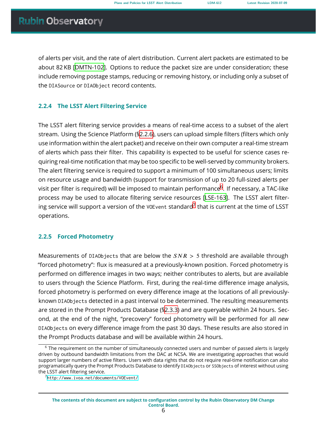of alerts per visit, and the rate of alert distribution. Current alert packets are estimated to be about 82 KB [\[DMTN-102\]](#page-24-1). Options to reduce the packet size are under consideration; these include removing postage stamps, reducing or removing history, or including only a subset of the DIASource or DIAObject record contents.

### <span id="page-10-0"></span>**2.2.4 The LSST Alert Filtering Service**

The LSST alert filtering service provides a means of real-time access to a subset of the alert stream. Using the Science Platform ([§2.2.6\)](#page-11-0), users can upload simple filters (filters which only use information within the alert packet) and receive on their own computer a real-time stream of alerts which pass their filter. This capability is expected to be useful for science cases requiring real-time notification that may be too specific to be well-served by community brokers. The alert filtering service is required to support a minimum of 100 simultaneous users; limits on resource usage and bandwidth (support for transmission of up to 20 full-sized alerts per visit per filter is required) will be imposed to maintain performance $^6$  $^6$ . If necessary, a TAC-like process may be used to allocate filtering service resources[[LSE-163\]](#page-24-3). The LSST alert filtering service will support a version of the <code>vo</code>E<code>vent</code> standard $^7$  $^7$  that is current at the time of <code>LSST</code> operations.

### <span id="page-10-1"></span>**2.2.5 Forced Photometry**

Measurements of DIAObjects that are below the  $SNR > 5$  threshold are available through "forced photometry": flux is measured at a previously-known position. Forced photometry is performed on difference images in two ways; neither contributes to alerts, but are available to users through the Science Platform. First, during the real-time difference image analysis, forced photometry is performed on every difference image at the locations of all previouslyknown DIAObjects detected in a past interval to be determined. The resulting measurements are stored in the Prompt Products Database ([§2.3.3\)](#page-12-1) and are queryable within 24 hours. Second, at the end of the night, "precovery" forced photometry will be performed for all *new* DIAObjects on every difference image from the past 30 days. These results are also stored in the Prompt Products database and will be available within 24 hours.

<span id="page-10-2"></span><sup>&</sup>lt;sup>6</sup> The requirement on the number of simultaneously connected users and number of passed alerts is largely driven by outbound bandwidth limitations from the DAC at NCSA. We are investigating approaches that would support larger numbers of active filters. Users with data rights that do not require real-time notification can also programatically query the Prompt Products Database to identify DIAObjects or SSObjects of interest without using the LSST alert filtering service.

<span id="page-10-3"></span><sup>7</sup> <http://www.ivoa.net/documents/VOEvent/>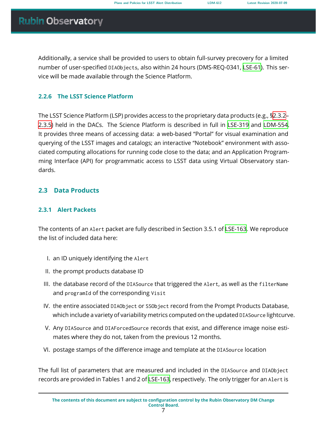Additionally, a service shall be provided to users to obtain full-survey precovery for a limited number of user-specified DIAObjects, also within 24 hours (DMS-REQ-0341, [LSE-61\)](#page-24-5). This service will be made available through the Science Platform.

### <span id="page-11-0"></span>**2.2.6 The LSST Science Platform**

The LSST Science Platform (LSP) provides access to the proprietary data products (e.g., [§2.3.2–](#page-12-0) [2.3.5\)](#page-12-3) held in the DACs. The Science Platform is described in full in [LSE-319](#page-24-8) and [LDM-554](#page-24-9). It provides three means of accessing data: a web-based "Portal" for visual examination and querying of the LSST images and catalogs; an interactive "Notebook" environment with associated computing allocations for running code close to the data; and an Application Programming Interface (API) for programmatic access to LSST data using Virtual Observatory standards.

### <span id="page-11-2"></span><span id="page-11-1"></span>**2.3 Data Products**

### **2.3.1 Alert Packets**

The contents of an Alert packet are fully described in Section 3.5.1 of [LSE-163.](#page-24-3) We reproduce the list of included data here:

- I. an ID uniquely identifying the Alert
- II. the prompt products database ID
- III. the database record of the DIASource that triggered the Alert, as well as the filterName and programId of the corresponding Visit
- IV. the entire associated DIAObject or SSObject record from the Prompt Products Database, which include a variety of variability metrics computed on the updated DIASource lightcurve.
- V. Any DIASource and DIAForcedSource records that exist, and difference image noise estimates where they do not, taken from the previous 12 months.
- VI. postage stamps of the difference image and template at the DIASource location

The full list of parameters that are measured and included in the DIASource and DIAObject records are provided in Tables 1 and 2 of [LSE-163,](#page-24-3) respectively. The only trigger for an Alert is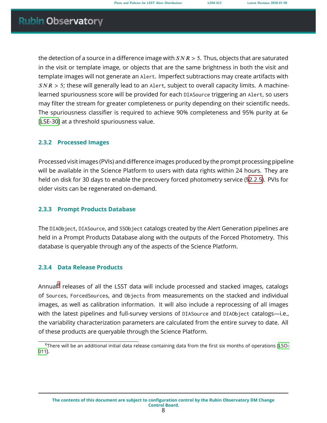the detection of a source in a difference image with  $SNR > 5$ . Thus, objects that are saturated in the visit or template image, or objects that are the same brightness in both the visit and template images will not generate an Alert. Imperfect subtractions may create artifacts with  $SNR > 5$ ; these will generally lead to an Alert, subject to overall capacity limits. A machinelearned spuriousness score will be provided for each DIASource triggering an Alert, so users may filter the stream for greater completeness or purity depending on their scientific needs. The spuriousness classifier is required to achieve 90% completeness and 95% purity at  $6\sigma$ [[LSE-30](#page-24-0)] at a threshold spuriousness value.

#### <span id="page-12-0"></span>**2.3.2 Processed Images**

Processed visit images (PVIs) and difference images produced by the prompt processing pipeline will be available in the Science Platform to users with data rights within 24 hours. They are held on disk for 30 days to enable the precovery forced photometry service ([§2.2.5\)](#page-10-1). PVIs for older visits can be regenerated on-demand.

#### <span id="page-12-1"></span>**2.3.3 Prompt Products Database**

The DIAObject, DIASource, and SSObject catalogs created by the Alert Generation pipelines are held in a Prompt Products Database along with the outputs of the Forced Photometry. This database is queryable through any of the aspects of the Science Platform.

#### <span id="page-12-2"></span>**2.3.4 Data Release Products**

Annual<sup>[8](#page-12-4)</sup> releases of all the LSST data will include processed and stacked images, catalogs of Sources, ForcedSources, and Objects from measurements on the stacked and individual images, as well as calibration information. It will also include a reprocessing of all images with the latest pipelines and full-survey versions of DIASource and DIAObject catalogs-i.e., the variability characterization parameters are calculated from the entire survey to date. All of these products are queryable through the Science Platform.

<span id="page-12-4"></span><span id="page-12-3"></span><sup>&</sup>lt;sup>8</sup>There will be an additional initial data release containing data from the first six months of operations [\[LSO-](#page-25-4)[011](#page-25-4)].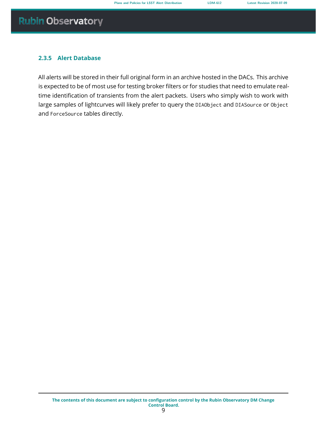### **2.3.5 Alert Database**

All alerts will be stored in their full original form in an archive hosted in the DACs. This archive is expected to be of most use for testing broker filters or for studies that need to emulate realtime identification of transients from the alert packets. Users who simply wish to work with large samples of lightcurves will likely prefer to query the DIAObject and DIASource or Object and ForceSource tables directly.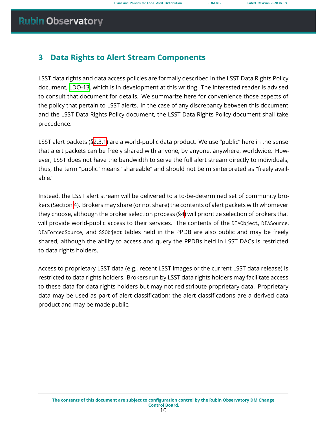### <span id="page-14-0"></span>**3 Data Rights to Alert Stream Components**

LSST data rights and data access policies are formally described in the LSST Data Rights Policy document, [LDO-13,](#page-24-10) which is in development at this writing. The interested reader is advised to consult that document for details. We summarize here for convenience those aspects of the policy that pertain to LSST alerts. In the case of any discrepancy between this document and the LSST Data Rights Policy document, the LSST Data Rights Policy document shall take precedence.

LSST alert packets (§[2.3.1](#page-11-2)) are a world-public data product. We use "public" here in the sense that alert packets can be freely shared with anyone, by anyone, anywhere, worldwide. However, LSST does not have the bandwidth to serve the full alert stream directly to individuals; thus, the term "public" means "shareable" and should not be misinterpreted as "freely available."

Instead, the LSST alert stream will be delivered to a to-be-determined set of community brokers (Section [4](#page-15-0)). Brokers may share (or not share) the contents of alert packets with whomever they choose, although the broker selection process ([§4](#page-15-0)) will prioritize selection of brokers that will provide world-public access to their services. The contents of the DIAObject, DIASource, DIAForcedSource, and SSObject tables held in the PPDB are also public and may be freely shared, although the ability to access and query the PPDBs held in LSST DACs is restricted to data rights holders.

Access to proprietary LSST data (e.g., recent LSST images or the current LSST data release) is restricted to data rights holders. Brokers run by LSST data rights holders may facilitate access to these data for data rights holders but may not redistribute proprietary data. Proprietary data may be used as part of alert classification; the alert classifications are a derived data product and may be made public.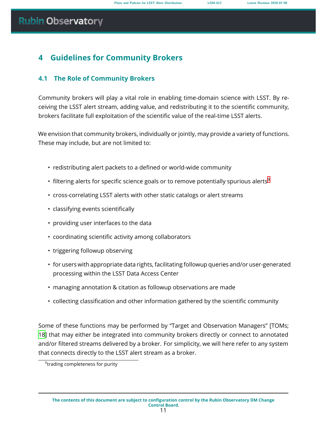### <span id="page-15-0"></span>**4 Guidelines for Community Brokers**

### <span id="page-15-1"></span>**4.1 The Role of Community Brokers**

Community brokers will play a vital role in enabling time-domain science with LSST. By receiving the LSST alert stream, adding value, and redistributing it to the scientific community, brokers facilitate full exploitation of the scientific value of the real-time LSST alerts.

We envision that community brokers, individually or jointly, may provide a variety of functions. These may include, but are not limited to:

- redistributing alert packets to a defined or world-wide community
- filtering alerts for specific science goals or to remove potentially spurious alerts<sup>[9](#page-15-2)</sup>
- cross-correlating LSST alerts with other static catalogs or alert streams
- classifying events scientifically
- providing user interfaces to the data
- coordinating scientific activity among collaborators
- triggering followup observing
- for users with appropriate data rights, facilitating followup queries and/or user-generated processing within the LSST Data Access Center
- managing annotation & citation as followup observations are made
- collecting classification and other information gathered by the scientific community

Some of these functions may be performed by "Target and Observation Managers" [TOMs; [18](#page-25-5)] that may either be integrated into community brokers directly or connect to annotated and/or filtered streams delivered by a broker. For simplicity, we will here refer to any system that connects directly to the LSST alert stream as a broker.

<span id="page-15-2"></span><sup>9</sup> trading completeness for purity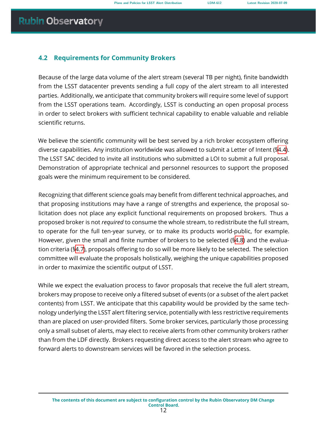### <span id="page-16-0"></span>**4.2 Requirements for Community Brokers**

Because of the large data volume of the alert stream (several TB per night), finite bandwidth from the LSST datacenter prevents sending a full copy of the alert stream to all interested parties. Additionally, we anticipate that community brokers will require some level of support from the LSST operations team. Accordingly, LSST is conducting an open proposal process in order to select brokers with sufficient technical capability to enable valuable and reliable scientific returns.

We believe the scientific community will be best served by a rich broker ecosystem offering diverse capabilities. Any institution worldwide was allowed to submit a Letter of Intent (§[4.4\)](#page-17-0). The LSST SAC decided to invite all institutions who submitted a LOI to submit a full proposal. Demonstration of appropriate technical and personnel resources to support the proposed goals were the minimum requirement to be considered.

Recognizing that different science goals may benefit from different technical approaches, and that proposing institutions may have a range of strengths and experience, the proposal solicitation does not place any explicit functional requirements on proposed brokers. Thus a proposed broker is not *required* to consume the whole stream, to redistribute the full stream, to operate for the full ten-year survey, or to make its products world-public, for example. However, given the small and finite number of brokers to be selected ([§4.8\)](#page-20-0) and the evaluation criteria ([§4.7\)](#page-18-0), proposals offering to do so will be more likely to be selected. The selection committee will evaluate the proposals holistically, weighing the unique capabilities proposed in order to maximize the scientific output of LSST.

<span id="page-16-1"></span>While we expect the evaluation process to favor proposals that receive the full alert stream, brokers may propose to receive only a filtered subset of events (or a subset of the alert packet contents) from LSST. We anticipate that this capability would be provided by the same technology underlying the LSST alert filtering service, potentially with less restrictive requirements than are placed on user-provided filters. Some broker services, particularly those processing only a small subset of alerts, may elect to receive alerts from other community brokers rather than from the LDF directly. Brokers requesting direct access to the alert stream who agree to forward alerts to downstream services will be favored in the selection process.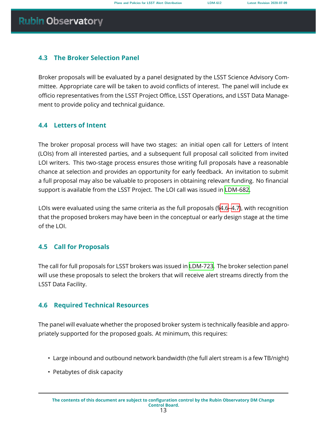### **4.3 The Broker Selection Panel**

Broker proposals will be evaluated by a panel designated by the LSST Science Advisory Committee. Appropriate care will be taken to avoid conflicts of interest. The panel will include ex officio representatives from the LSST Project Office, LSST Operations, and LSST Data Management to provide policy and technical guidance.

### <span id="page-17-0"></span>**4.4 Letters of Intent**

The broker proposal process will have two stages: an initial open call for Letters of Intent (LOIs) from all interested parties, and a subsequent full proposal call solicited from invited LOI writers. This two-stage process ensures those writing full proposals have a reasonable chance at selection and provides an opportunity for early feedback. An invitation to submit a full proposal may also be valuable to proposers in obtaining relevant funding. No financial support is available from the LSST Project. The LOI call was issued in [LDM-682.](#page-23-1)

LOIs were evaluated using the same criteria as the full proposals ([§4.6](#page-17-2)[–4.7\)](#page-18-0), with recognition that the proposed brokers may have been in the conceptual or early design stage at the time of the LOI.

### <span id="page-17-1"></span>**4.5 Call for Proposals**

The call for full proposals for LSST brokers was issued in [LDM-723.](#page-24-11) The broker selection panel will use these proposals to select the brokers that will receive alert streams directly from the LSST Data Facility.

### <span id="page-17-2"></span>**4.6 Required Technical Resources**

The panel will evaluate whether the proposed broker system is technically feasible and appropriately supported for the proposed goals. At minimum, this requires:

- Large inbound and outbound network bandwidth (the full alert stream is a few TB/night)
- Petabytes of disk capacity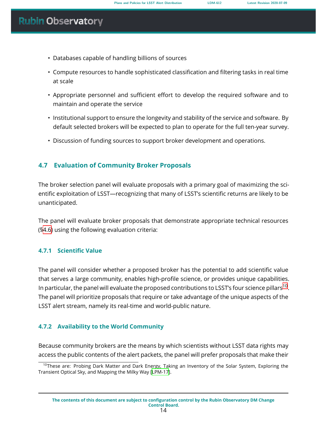- Databases capable of handling billions of sources
- Compute resources to handle sophisticated classification and filtering tasks in real time at scale
- Appropriate personnel and sufficient effort to develop the required software and to maintain and operate the service
- Institutional support to ensure the longevity and stability of the service and software. By default selected brokers will be expected to plan to operate for the full ten-year survey.
- Discussion of funding sources to support broker development and operations.

### <span id="page-18-0"></span>**4.7 Evaluation of Community Broker Proposals**

The broker selection panel will evaluate proposals with a primary goal of maximizing the scientific exploitation of LSST—recognizing that many of LSST's scientific returns are likely to be unanticipated.

The panel will evaluate broker proposals that demonstrate appropriate technical resources (§[4.6\)](#page-17-2) using the following evaluation criteria:

### <span id="page-18-1"></span>**4.7.1 Scientific Value**

The panel will consider whether a proposed broker has the potential to add scientific value that serves a large community, enables high-profile science, or provides unique capabilities. In particular, the panel will evaluate the proposed contributions to LSST's four science pillars $^{\text{10}}$  $^{\text{10}}$  $^{\text{10}}$ . The panel will prioritize proposals that require or take advantage of the unique aspects of the LSST alert stream, namely its real-time and world-public nature.

### <span id="page-18-2"></span>**4.7.2 Availability to the World Community**

Because community brokers are the means by which scientists without LSST data rights may access the public contents of the alert packets, the panel will prefer proposals that make their

<span id="page-18-3"></span><sup>&</sup>lt;sup>10</sup>These are: Probing Dark Matter and Dark Energy, Taking an Inventory of the Solar System, Exploring the Transient Optical Sky, and Mapping the Milky Way[[LPM-17\]](#page-24-12).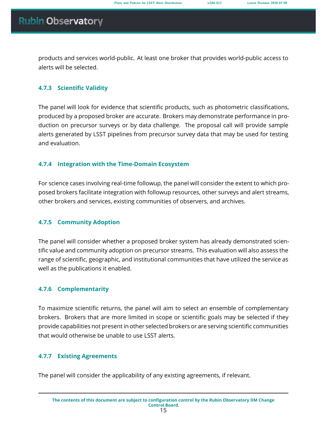products and services world-public. At least one broker that provides world-public access to alerts will be selected.

### <span id="page-19-0"></span>**4.7.3 Scientific Validity**

The panel will look for evidence that scientific products, such as photometric classifications, produced by a proposed broker are accurate. Brokers may demonstrate performance in production on precursor surveys or by data challenge. The proposal call will provide sample alerts generated by LSST pipelines from precursor survey data that may be used for testing and evaluation.

### <span id="page-19-1"></span>**4.7.4 Integration with the Time-Domain Ecosystem**

For science cases involving real-time followup, the panel will consider the extent to which proposed brokers facilitate integration with followup resources, other surveys and alert streams, other brokers and services, existing communities of observers, and archives.

### <span id="page-19-2"></span>**4.7.5 Community Adoption**

The panel will consider whether a proposed broker system has already demonstrated scientific value and community adoption on precursor streams. This evaluation will also assess the range of scientific, geographic, and institutional communities that have utilized the service as well as the publications it enabled.

### <span id="page-19-3"></span>**4.7.6 Complementarity**

To maximize scientific returns, the panel will aim to select an ensemble of complementary brokers. Brokers that are more limited in scope or scientific goals may be selected if they provide capabilities not present in other selected brokers or are serving scientific communities that would otherwise be unable to use LSST alerts.

#### <span id="page-19-4"></span>**4.7.7 Existing Agreements**

The panel will consider the applicability of any existing agreements, if relevant.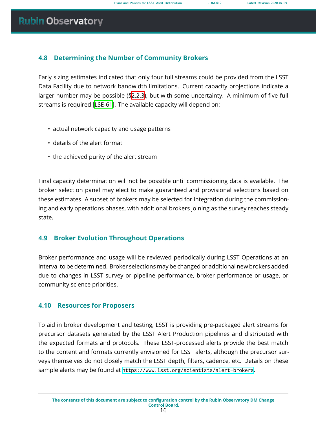### <span id="page-20-0"></span>**4.8 Determining the Number of Community Brokers**

Early sizing estimates indicated that only four full streams could be provided from the LSST Data Facility due to network bandwidth limitations. Current capacity projections indicate a larger number may be possible ([§2.2.3\)](#page-9-1), but with some uncertainty. A minimum of five full streams is required [\[LSE-61\]](#page-24-5). The available capacity will depend on:

- actual network capacity and usage patterns
- details of the alert format
- the achieved purity of the alert stream

Final capacity determination will not be possible until commissioning data is available. The broker selection panel may elect to make guaranteed and provisional selections based on these estimates. A subset of brokers may be selected for integration during the commissioning and early operations phases, with additional brokers joining as the survey reaches steady state.

### <span id="page-20-1"></span>**4.9 Broker Evolution Throughout Operations**

Broker performance and usage will be reviewed periodically during LSST Operations at an interval to be determined. Broker selections may be changed or additional new brokers added due to changes in LSST survey or pipeline performance, broker performance or usage, or community science priorities.

### <span id="page-20-2"></span>**4.10 Resources for Proposers**

To aid in broker development and testing, LSST is providing pre-packaged alert streams for precursor datasets generated by the LSST Alert Production pipelines and distributed with the expected formats and protocols. These LSST-processed alerts provide the best match to the content and formats currently envisioned for LSST alerts, although the precursor surveys themselves do not closely match the LSST depth, filters, cadence, etc. Details on these sample alerts may be found at <https://www.lsst.org/scientists/alert-brokers>.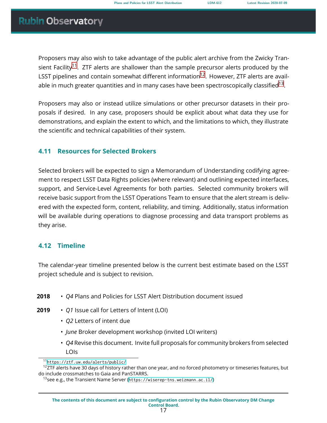Proposers may also wish to take advantage of the public alert archive from the Zwicky Tran-sient Facility<sup>[11](#page-21-2)</sup>. ZTF alerts are shallower than the sample precursor alerts produced by the LSST pipelines and contain somewhat different information<sup>[12](#page-21-3)</sup>. However, ZTF alerts are available in much greater quantities and in many cases have been spectroscopically classified $^{13}.$  $^{13}.$  $^{13}.$ 

Proposers may also or instead utilize simulations or other precursor datasets in their proposals if desired. In any case, proposers should be explicit about what data they use for demonstrations, and explain the extent to which, and the limitations to which, they illustrate the scientific and technical capabilities of their system.

### <span id="page-21-0"></span>**4.11 Resources for Selected Brokers**

Selected brokers will be expected to sign a Memorandum of Understanding codifying agreement to respect LSST Data Rights policies (where relevant) and outlining expected interfaces, support, and Service-Level Agreements for both parties. Selected community brokers will receive basic support from the LSST Operations Team to ensure that the alert stream is delivered with the expected form, content, reliability, and timing. Additionally, status information will be available during operations to diagnose processing and data transport problems as they arise.

### <span id="page-21-1"></span>**4.12 Timeline**

The calendar-year timeline presented below is the current best estimate based on the LSST project schedule and is subject to revision.

- **2018** *Q4* Plans and Policies for LSST Alert Distribution document issued
- **2019** *Q1* Issue call for Letters of Intent (LOI)
	- *Q2* Letters of intent due
	- *June* Broker development workshop (invited LOI writers)
	- *Q4* Revise this document. Invite full proposals for community brokers from selected LOIs

<span id="page-21-3"></span><span id="page-21-2"></span><sup>11</sup><https://ztf.uw.edu/alerts/public/>

 $12$ ZTF alerts have 30 days of history rather than one year, and no forced photometry or timeseries features, but do include crossmatches to Gaia and PanSTARRS.

<span id="page-21-4"></span><sup>&</sup>lt;sup>13</sup> see e.g., the Transient Name Server (<https://wiserep-tns.weizmann.ac.il/>)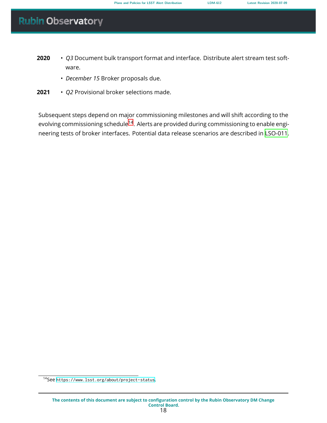- **2020** *Q3* Document bulk transport format and interface. Distribute alert stream test software.
	- *December 15* Broker proposals due.
- **2021** *Q2* Provisional broker selections made.

Subsequent steps depend on major commissioning milestones and will shift according to the evolving commissioning schedule<sup>[14](#page-22-0)</sup>. Alerts are provided during commissioning to enable engineering tests of broker interfaces. Potential data release scenarios are described in [LSO-011.](#page-25-4)

<span id="page-22-0"></span><sup>14</sup>See <https://www.lsst.org/about/project-status>.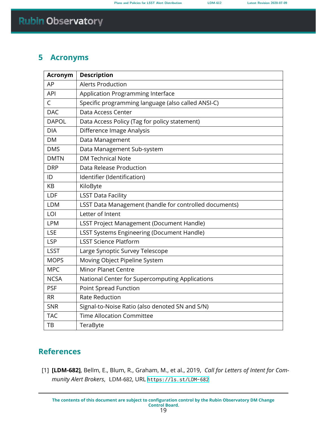### <span id="page-23-0"></span>**5 Acronyms**

| <b>Acronym</b> | <b>Description</b>                                     |  |
|----------------|--------------------------------------------------------|--|
| AP             | <b>Alerts Production</b>                               |  |
| <b>API</b>     | Application Programming Interface                      |  |
| C              | Specific programming language (also called ANSI-C)     |  |
| <b>DAC</b>     | Data Access Center                                     |  |
| <b>DAPOL</b>   | Data Access Policy (Tag for policy statement)          |  |
| <b>DIA</b>     | Difference Image Analysis                              |  |
| <b>DM</b>      | Data Management                                        |  |
| <b>DMS</b>     | Data Management Sub-system                             |  |
| <b>DMTN</b>    | <b>DM Technical Note</b>                               |  |
| <b>DRP</b>     | Data Release Production                                |  |
| ID             | Identifier (Identification)                            |  |
| KB             | KiloByte                                               |  |
| LDF            | <b>LSST Data Facility</b>                              |  |
| <b>LDM</b>     | LSST Data Management (handle for controlled documents) |  |
| LOI            | Letter of Intent                                       |  |
| <b>LPM</b>     | <b>LSST Project Management (Document Handle)</b>       |  |
| <b>LSE</b>     | <b>LSST Systems Engineering (Document Handle)</b>      |  |
| <b>LSP</b>     | <b>LSST Science Platform</b>                           |  |
| <b>LSST</b>    | Large Synoptic Survey Telescope                        |  |
| <b>MOPS</b>    | Moving Object Pipeline System                          |  |
| <b>MPC</b>     | <b>Minor Planet Centre</b>                             |  |
| <b>NCSA</b>    | National Center for Supercomputing Applications        |  |
| <b>PSF</b>     | <b>Point Spread Function</b>                           |  |
| <b>RR</b>      | <b>Rate Reduction</b>                                  |  |
| <b>SNR</b>     | Signal-to-Noise Ratio (also denoted SN and S/N)        |  |
| <b>TAC</b>     | <b>Time Allocation Committee</b>                       |  |
| ТB             | TeraByte                                               |  |

### **References**

<span id="page-23-1"></span>[1] **[LDM-682]**, Bellm, E., Blum, R., Graham, M., et al., 2019, *Call for Letters of Intent for Community Alert Brokers*, LDM-682, URL <https://ls.st/LDM-682>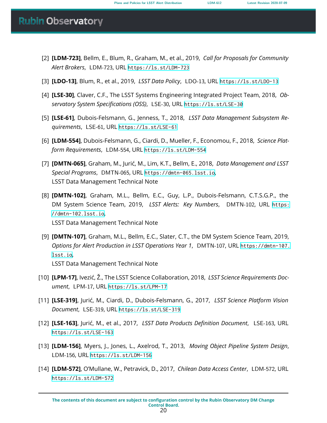- <span id="page-24-11"></span>[2] **[LDM-723]**, Bellm, E., Blum, R., Graham, M., et al., 2019, *Call for Proposals for Community Alert Brokers*, LDM-723, URL <https://ls.st/LDM-723>
- <span id="page-24-10"></span>[3] **[LDO-13]**, Blum, R., et al., 2019, *LSST Data Policy*, LDO-13, URL <https://ls.st/LDO-13>
- <span id="page-24-0"></span>[4] **[LSE-30]**, Claver, C.F., The LSST Systems Engineering Integrated Project Team, 2018, *Observatory System Specifications (OSS)*, LSE-30, URL <https://ls.st/LSE-30>
- <span id="page-24-5"></span>[5] **[LSE-61]**, Dubois-Felsmann, G., Jenness, T., 2018, *LSST Data Management Subsystem Requirements*, LSE-61, URL <https://ls.st/LSE-61>
- <span id="page-24-9"></span>[6] **[LDM-554]**, Dubois-Felsmann, G., Ciardi, D., Mueller, F., Economou, F., 2018, *Science Platform Requirements*, LDM-554, URL <https://ls.st/LDM-554>
- <span id="page-24-4"></span>[7] **[DMTN-065]**, Graham, M., Jurić, M., Lim, K.T., Bellm, E., 2018, *Data Management and LSST Special Programs*, DMTN-065, URL <https://dmtn-065.lsst.io>, LSST Data Management Technical Note
- <span id="page-24-1"></span>[8] **[DMTN-102]**, Graham, M.L., Bellm, E.C., Guy, L.P., Dubois-Felsmann, C.T.S.G.P., the DM System Science Team, 2019, *LSST Alerts: Key Numbers*, DMTN-102, URL [https:](https://dmtn-102.lsst.io) [//dmtn-102.lsst.io](https://dmtn-102.lsst.io), LSST Data Management Technical Note
- <span id="page-24-6"></span>[9] **[DMTN-107]**, Graham, M.L., Bellm, E.C., Slater, C.T., the DM System Science Team, 2019, *Options for Alert Production in LSST Operations Year 1*, DMTN-107, URL [https://dmtn-107.](https://dmtn-107.lsst.io) [lsst.io](https://dmtn-107.lsst.io), LSST Data Management Technical Note
- <span id="page-24-12"></span>[10] **[LPM-17]**, Ivezić, Ž., The LSST Science Collaboration, 2018, *LSST Science Requirements Document*, LPM-17, URL <https://ls.st/LPM-17>
- <span id="page-24-8"></span>[11] **[LSE-319]**, Jurić, M., Ciardi, D., Dubois-Felsmann, G., 2017, *LSST Science Platform Vision Document*, LSE-319, URL <https://ls.st/LSE-319>
- <span id="page-24-3"></span>[12] **[LSE-163]**, Jurić, M., et al., 2017, *LSST Data Products Definition Document*, LSE-163, URL <https://ls.st/LSE-163>
- <span id="page-24-7"></span>[13] **[LDM-156]**, Myers, J., Jones, L., Axelrod, T., 2013, *Moving Object Pipeline System Design*, LDM-156, URL <https://ls.st/LDM-156>
- <span id="page-24-2"></span>[14] **[LDM-572]**, O'Mullane, W., Petravick, D., 2017, *Chilean Data Access Center*, LDM-572, URL <https://ls.st/LDM-572>